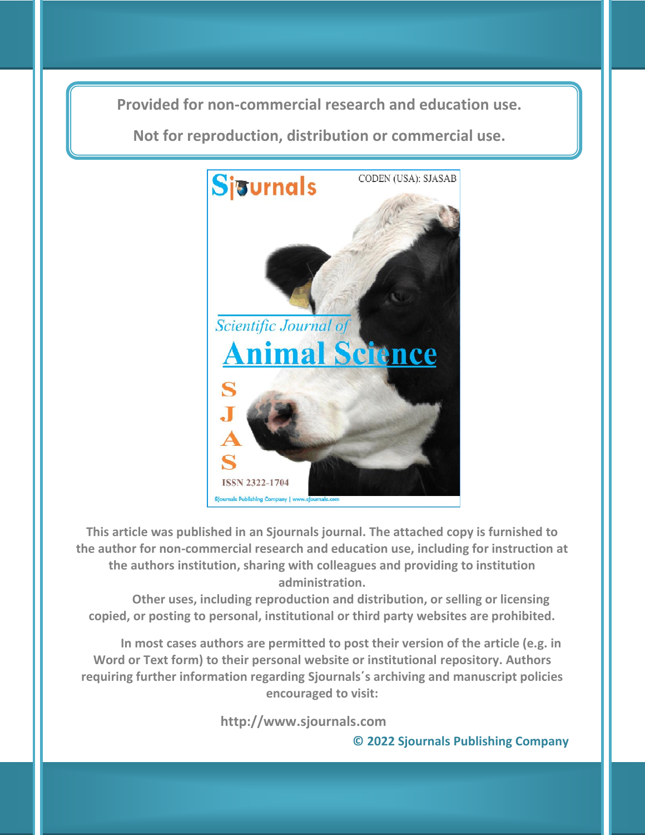**Provided for non-commercial research and education use. Provided for non-commercial research and education use.**

**Not for reproduction, distribution or commercial use. Not for reproduction, distribution or commercial use.**



**This article was published in an Sjournals journal. The attached copy is furnished to the author for non-commercial research and education use, including for instruction at the authors institution, sharing with colleagues and providing to institution administration.**

**Other uses, including reproduction and distribution, or selling or licensing copied, or posting to personal, institutional or third party websites are prohibited.**

**In most cases authors are permitted to post their version of the article (e.g. in Word or Text form) to their personal website or institutional repository. Authors requiring further information regarding Sjournals΄s archiving and manuscript policies encouraged to visit:**

 **http://www.sjournals.com** 

**© 2022 Sjournals Publishing Company**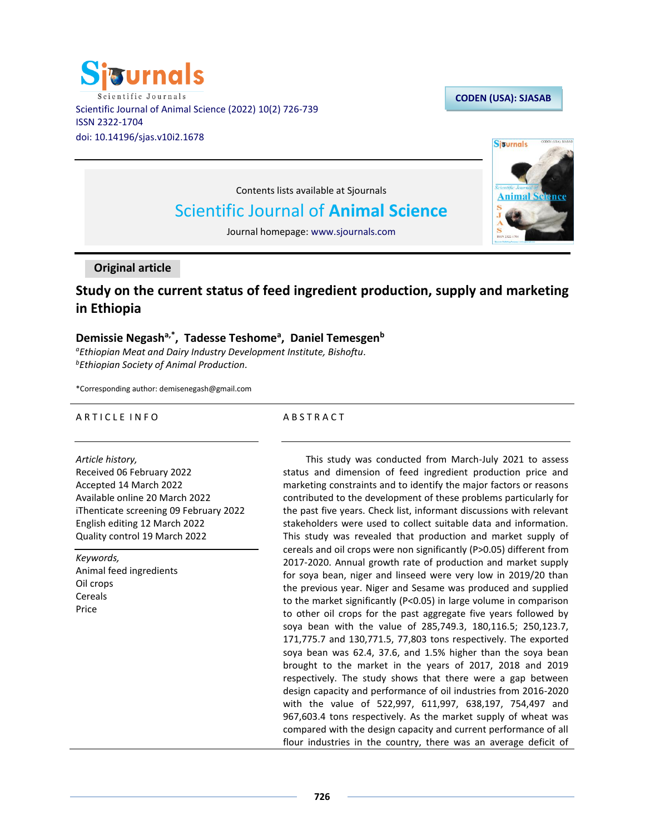

## **CODEN (USA): SJASAB**



Contents lists available at Sjournals

# Scientific Journal of **Animal Science**

Journal homepage: www.sjournals.com

## **Original article**

## **Study on the current status of feed ingredient production, supply and marketing in Ethiopia**

## **Demissie Negasha,\*, Tadesse Teshome<sup>a</sup> , Daniel Temesgen<sup>b</sup>**

*<sup>a</sup>Ethiopian Meat and Dairy Industry Development Institute, Bishoftu. <sup>b</sup>Ethiopian Society of Animal Production.*

\*Corresponding author: demisenegash@gmail.com

## ARTICLE INFO

## A B S T R A C T

*Article history,* Received 06 February 2022 Accepted 14 March 2022 Available online 20 March 2022 iThenticate screening 09 February 2022 English editing 12 March 2022 Quality control 19 March 2022

*Keywords,* Animal feed ingredients Oil crops Cereals Price

This study was conducted from March-July 2021 to assess status and dimension of feed ingredient production price and marketing constraints and to identify the major factors or reasons contributed to the development of these problems particularly for the past five years. Check list, informant discussions with relevant stakeholders were used to collect suitable data and information. This study was revealed that production and market supply of cereals and oil crops were non significantly (P>0.05) different from 2017-2020. Annual growth rate of production and market supply for soya bean, niger and linseed were very low in 2019/20 than the previous year. Niger and Sesame was produced and supplied to the market significantly (P<0.05) in large volume in comparison to other oil crops for the past aggregate five years followed by soya bean with the value of 285,749.3, 180,116.5; 250,123.7, 171,775.7 and 130,771.5, 77,803 tons respectively. The exported soya bean was 62.4, 37.6, and 1.5% higher than the soya bean brought to the market in the years of 2017, 2018 and 2019 respectively. The study shows that there were a gap between design capacity and performance of oil industries from 2016-2020 with the value of 522,997, 611,997, 638,197, 754,497 and 967,603.4 tons respectively. As the market supply of wheat was compared with the design capacity and current performance of all flour industries in the country, there was an average deficit of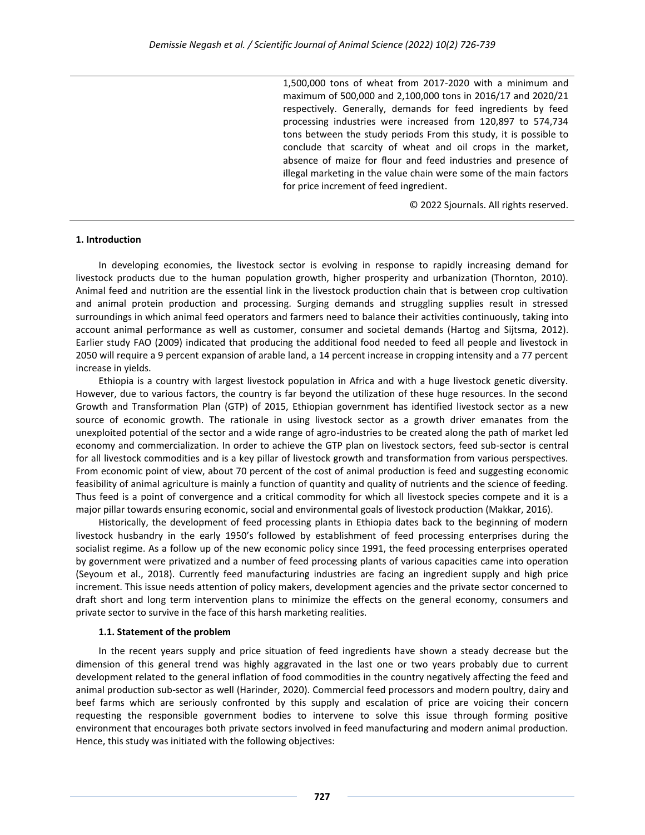1,500,000 tons of wheat from 2017-2020 with a minimum and maximum of 500,000 and 2,100,000 tons in 2016/17 and 2020/21 respectively. Generally, demands for feed ingredients by feed processing industries were increased from 120,897 to 574,734 tons between the study periods From this study, it is possible to conclude that scarcity of wheat and oil crops in the market, absence of maize for flour and feed industries and presence of illegal marketing in the value chain were some of the main factors for price increment of feed ingredient.

© 2022 Sjournals. All rights reserved.

#### **1. Introduction**

In developing economies, the livestock sector is evolving in response to rapidly increasing demand for livestock products due to the human population growth, higher prosperity and urbanization (Thornton, 2010). Animal feed and nutrition are the essential link in the livestock production chain that is between crop cultivation and animal protein production and processing. Surging demands and struggling supplies result in stressed surroundings in which animal feed operators and farmers need to balance their activities continuously, taking into account animal performance as well as customer, consumer and societal demands (Hartog and Sijtsma, 2012). Earlier study FAO (2009) indicated that producing the additional food needed to feed all people and livestock in 2050 will require a 9 percent expansion of arable land, a 14 percent increase in cropping intensity and a 77 percent increase in yields.

Ethiopia is a country with largest livestock population in Africa and with a huge livestock genetic diversity. However, due to various factors, the country is far beyond the utilization of these huge resources. In the second Growth and Transformation Plan (GTP) of 2015, Ethiopian government has identified livestock sector as a new source of economic growth. The rationale in using livestock sector as a growth driver emanates from the unexploited potential of the sector and a wide range of agro-industries to be created along the path of market led economy and commercialization. In order to achieve the GTP plan on livestock sectors, feed sub-sector is central for all livestock commodities and is a key pillar of livestock growth and transformation from various perspectives. From economic point of view, about 70 percent of the cost of animal production is feed and suggesting economic feasibility of animal agriculture is mainly a function of quantity and quality of nutrients and the science of feeding. Thus feed is a point of convergence and a critical commodity for which all livestock species compete and it is a major pillar towards ensuring economic, social and environmental goals of livestock production (Makkar, 2016).

Historically, the development of feed processing plants in Ethiopia dates back to the beginning of modern livestock husbandry in the early 1950's followed by establishment of feed processing enterprises during the socialist regime. As a follow up of the new economic policy since 1991, the feed processing enterprises operated by government were privatized and a number of feed processing plants of various capacities came into operation (Seyoum et al., 2018). Currently feed manufacturing industries are facing an ingredient supply and high price increment. This issue needs attention of policy makers, development agencies and the private sector concerned to draft short and long term intervention plans to minimize the effects on the general economy, consumers and private sector to survive in the face of this harsh marketing realities.

#### **1.1. Statement of the problem**

In the recent years supply and price situation of feed ingredients have shown a steady decrease but the dimension of this general trend was highly aggravated in the last one or two years probably due to current development related to the general inflation of food commodities in the country negatively affecting the feed and animal production sub-sector as well (Harinder, 2020). Commercial feed processors and modern poultry, dairy and beef farms which are seriously confronted by this supply and escalation of price are voicing their concern requesting the responsible government bodies to intervene to solve this issue through forming positive environment that encourages both private sectors involved in feed manufacturing and modern animal production. Hence, this study was initiated with the following objectives: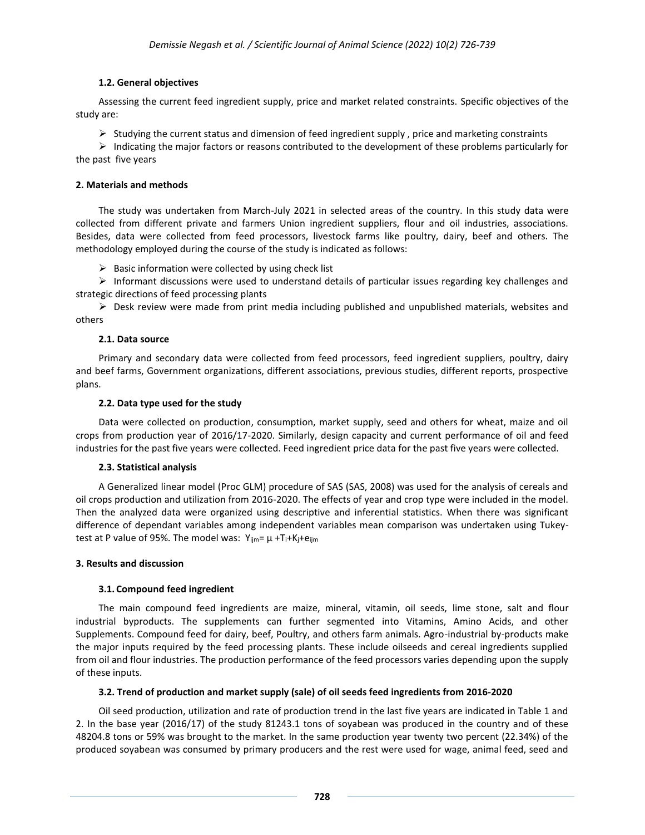## **1.2. General objectives**

Assessing the current feed ingredient supply, price and market related constraints. Specific objectives of the study are:

 $\triangleright$  Studying the current status and dimension of feed ingredient supply, price and marketing constraints

 $\triangleright$  Indicating the major factors or reasons contributed to the development of these problems particularly for the past five years

#### **2. Materials and methods**

The study was undertaken from March-July 2021 in selected areas of the country. In this study data were collected from different private and farmers Union ingredient suppliers, flour and oil industries, associations. Besides, data were collected from feed processors, livestock farms like poultry, dairy, beef and others. The methodology employed during the course of the study is indicated as follows:

 $\triangleright$  Basic information were collected by using check list

 $\triangleright$  Informant discussions were used to understand details of particular issues regarding key challenges and strategic directions of feed processing plants

 $\triangleright$  Desk review were made from print media including published and unpublished materials, websites and others

## **2.1. Data source**

Primary and secondary data were collected from feed processors, feed ingredient suppliers, poultry, dairy and beef farms, Government organizations, different associations, previous studies, different reports, prospective plans.

#### **2.2. Data type used for the study**

Data were collected on production, consumption, market supply, seed and others for wheat, maize and oil crops from production year of 2016/17-2020. Similarly, design capacity and current performance of oil and feed industries for the past five years were collected. Feed ingredient price data for the past five years were collected.

## **2.3. Statistical analysis**

A Generalized linear model (Proc GLM) procedure of SAS (SAS, 2008) was used for the analysis of cereals and oil crops production and utilization from 2016-2020. The effects of year and crop type were included in the model. Then the analyzed data were organized using descriptive and inferential statistics. When there was significant difference of dependant variables among independent variables mean comparison was undertaken using Tukeytest at P value of 95%. The model was:  $Y_{ijm} = \mu + T_i + K_j + e_{ijm}$ 

#### **3. Results and discussion**

## **3.1. Compound feed ingredient**

The main compound feed ingredients are maize, mineral, vitamin, oil seeds, lime stone, salt and flour industrial byproducts. The supplements can further segmented into Vitamins, Amino Acids, and other Supplements. Compound feed for dairy, beef, Poultry, and others farm animals. Agro-industrial by-products make the major inputs required by the feed processing plants. These include oilseeds and cereal ingredients supplied from oil and flour industries. The production performance of the feed processors varies depending upon the supply of these inputs.

## **3.2. Trend of production and market supply (sale) of oil seeds feed ingredients from 2016-2020**

Oil seed production, utilization and rate of production trend in the last five years are indicated in Table 1 and 2. In the base year (2016/17) of the study 81243.1 tons of soyabean was produced in the country and of these 48204.8 tons or 59% was brought to the market. In the same production year twenty two percent (22.34%) of the produced soyabean was consumed by primary producers and the rest were used for wage, animal feed, seed and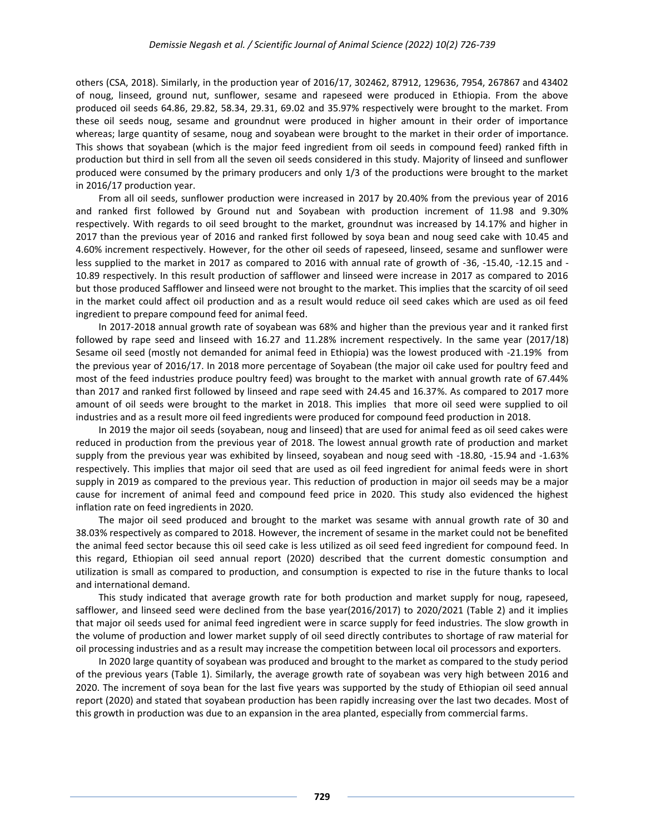others (CSA, 2018). Similarly, in the production year of 2016/17, 302462, 87912, 129636, 7954, 267867 and 43402 of noug, linseed, ground nut, sunflower, sesame and rapeseed were produced in Ethiopia. From the above produced oil seeds 64.86, 29.82, 58.34, 29.31, 69.02 and 35.97% respectively were brought to the market. From these oil seeds noug, sesame and groundnut were produced in higher amount in their order of importance whereas; large quantity of sesame, noug and soyabean were brought to the market in their order of importance. This shows that soyabean (which is the major feed ingredient from oil seeds in compound feed) ranked fifth in production but third in sell from all the seven oil seeds considered in this study. Majority of linseed and sunflower produced were consumed by the primary producers and only 1/3 of the productions were brought to the market in 2016/17 production year.

From all oil seeds, sunflower production were increased in 2017 by 20.40% from the previous year of 2016 and ranked first followed by Ground nut and Soyabean with production increment of 11.98 and 9.30% respectively. With regards to oil seed brought to the market, groundnut was increased by 14.17% and higher in 2017 than the previous year of 2016 and ranked first followed by soya bean and noug seed cake with 10.45 and 4.60% increment respectively. However, for the other oil seeds of rapeseed, linseed, sesame and sunflower were less supplied to the market in 2017 as compared to 2016 with annual rate of growth of -36, -15.40, -12.15 and - 10.89 respectively. In this result production of safflower and linseed were increase in 2017 as compared to 2016 but those produced Safflower and linseed were not brought to the market. This implies that the scarcity of oil seed in the market could affect oil production and as a result would reduce oil seed cakes which are used as oil feed ingredient to prepare compound feed for animal feed.

In 2017-2018 annual growth rate of soyabean was 68% and higher than the previous year and it ranked first followed by rape seed and linseed with 16.27 and 11.28% increment respectively. In the same year (2017/18) Sesame oil seed (mostly not demanded for animal feed in Ethiopia) was the lowest produced with -21.19% from the previous year of 2016/17. In 2018 more percentage of Soyabean (the major oil cake used for poultry feed and most of the feed industries produce poultry feed) was brought to the market with annual growth rate of 67.44% than 2017 and ranked first followed by linseed and rape seed with 24.45 and 16.37%. As compared to 2017 more amount of oil seeds were brought to the market in 2018. This implies that more oil seed were supplied to oil industries and as a result more oil feed ingredients were produced for compound feed production in 2018.

In 2019 the major oil seeds (soyabean, noug and linseed) that are used for animal feed as oil seed cakes were reduced in production from the previous year of 2018. The lowest annual growth rate of production and market supply from the previous year was exhibited by linseed, soyabean and noug seed with -18.80, -15.94 and -1.63% respectively. This implies that major oil seed that are used as oil feed ingredient for animal feeds were in short supply in 2019 as compared to the previous year. This reduction of production in major oil seeds may be a major cause for increment of animal feed and compound feed price in 2020. This study also evidenced the highest inflation rate on feed ingredients in 2020.

The major oil seed produced and brought to the market was sesame with annual growth rate of 30 and 38.03% respectively as compared to 2018. However, the increment of sesame in the market could not be benefited the animal feed sector because this oil seed cake is less utilized as oil seed feed ingredient for compound feed. In this regard, Ethiopian oil seed annual report (2020) described that the current domestic consumption and utilization is small as compared to production, and consumption is expected to rise in the future thanks to local and international demand.

This study indicated that average growth rate for both production and market supply for noug, rapeseed, safflower, and linseed seed were declined from the base year(2016/2017) to 2020/2021 (Table 2) and it implies that major oil seeds used for animal feed ingredient were in scarce supply for feed industries. The slow growth in the volume of production and lower market supply of oil seed directly contributes to shortage of raw material for oil processing industries and as a result may increase the competition between local oil processors and exporters.

In 2020 large quantity of soyabean was produced and brought to the market as compared to the study period of the previous years (Table 1). Similarly, the average growth rate of soyabean was very high between 2016 and 2020. The increment of soya bean for the last five years was supported by the study of Ethiopian oil seed annual report (2020) and stated that soyabean production has been rapidly increasing over the last two decades. Most of this growth in production was due to an expansion in the area planted, especially from commercial farms.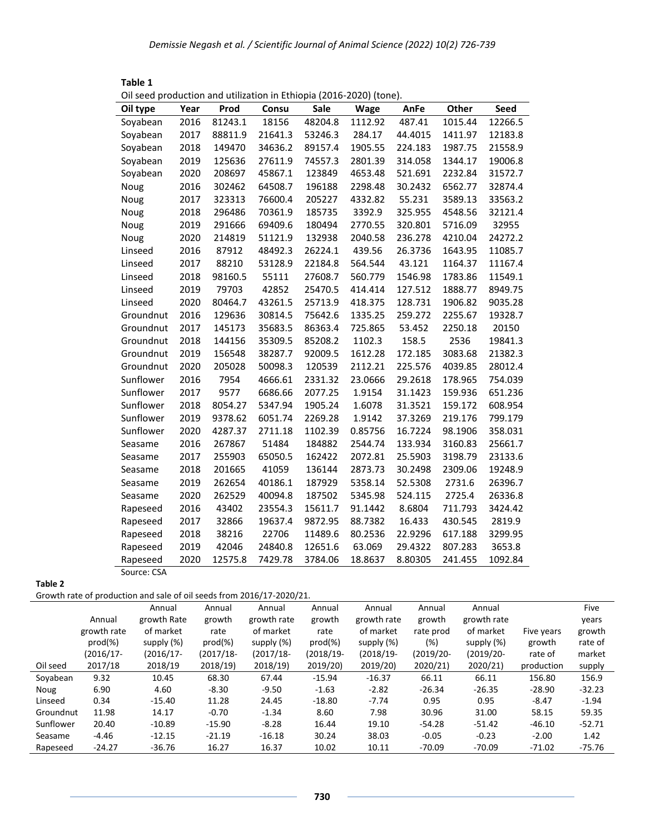| Oil seed production and utilization in Ethiopia (2016-2020) (tone). |      |         |         |         |         |         |         |             |
|---------------------------------------------------------------------|------|---------|---------|---------|---------|---------|---------|-------------|
| Oil type                                                            | Year | Prod    | Consu   | Sale    | Wage    | AnFe    | Other   | <b>Seed</b> |
| Soyabean                                                            | 2016 | 81243.1 | 18156   | 48204.8 | 1112.92 | 487.41  | 1015.44 | 12266.5     |
| Soyabean                                                            | 2017 | 88811.9 | 21641.3 | 53246.3 | 284.17  | 44.4015 | 1411.97 | 12183.8     |
| Soyabean                                                            | 2018 | 149470  | 34636.2 | 89157.4 | 1905.55 | 224.183 | 1987.75 | 21558.9     |
| Soyabean                                                            | 2019 | 125636  | 27611.9 | 74557.3 | 2801.39 | 314.058 | 1344.17 | 19006.8     |
| Soyabean                                                            | 2020 | 208697  | 45867.1 | 123849  | 4653.48 | 521.691 | 2232.84 | 31572.7     |
| Noug                                                                | 2016 | 302462  | 64508.7 | 196188  | 2298.48 | 30.2432 | 6562.77 | 32874.4     |
| Noug                                                                | 2017 | 323313  | 76600.4 | 205227  | 4332.82 | 55.231  | 3589.13 | 33563.2     |
| Noug                                                                | 2018 | 296486  | 70361.9 | 185735  | 3392.9  | 325.955 | 4548.56 | 32121.4     |
| Noug                                                                | 2019 | 291666  | 69409.6 | 180494  | 2770.55 | 320.801 | 5716.09 | 32955       |
| Noug                                                                | 2020 | 214819  | 51121.9 | 132938  | 2040.58 | 236.278 | 4210.04 | 24272.2     |
| Linseed                                                             | 2016 | 87912   | 48492.3 | 26224.1 | 439.56  | 26.3736 | 1643.95 | 11085.7     |
| Linseed                                                             | 2017 | 88210   | 53128.9 | 22184.8 | 564.544 | 43.121  | 1164.37 | 11167.4     |
| Linseed                                                             | 2018 | 98160.5 | 55111   | 27608.7 | 560.779 | 1546.98 | 1783.86 | 11549.1     |
| Linseed                                                             | 2019 | 79703   | 42852   | 25470.5 | 414.414 | 127.512 | 1888.77 | 8949.75     |
| Linseed                                                             | 2020 | 80464.7 | 43261.5 | 25713.9 | 418.375 | 128.731 | 1906.82 | 9035.28     |
| Groundnut                                                           | 2016 | 129636  | 30814.5 | 75642.6 | 1335.25 | 259.272 | 2255.67 | 19328.7     |
| Groundnut                                                           | 2017 | 145173  | 35683.5 | 86363.4 | 725.865 | 53.452  | 2250.18 | 20150       |
| Groundnut                                                           | 2018 | 144156  | 35309.5 | 85208.2 | 1102.3  | 158.5   | 2536    | 19841.3     |
| Groundnut                                                           | 2019 | 156548  | 38287.7 | 92009.5 | 1612.28 | 172.185 | 3083.68 | 21382.3     |
| Groundnut                                                           | 2020 | 205028  | 50098.3 | 120539  | 2112.21 | 225.576 | 4039.85 | 28012.4     |
| Sunflower                                                           | 2016 | 7954    | 4666.61 | 2331.32 | 23.0666 | 29.2618 | 178.965 | 754.039     |
| Sunflower                                                           | 2017 | 9577    | 6686.66 | 2077.25 | 1.9154  | 31.1423 | 159.936 | 651.236     |
| Sunflower                                                           | 2018 | 8054.27 | 5347.94 | 1905.24 | 1.6078  | 31.3521 | 159.172 | 608.954     |
| Sunflower                                                           | 2019 | 9378.62 | 6051.74 | 2269.28 | 1.9142  | 37.3269 | 219.176 | 799.179     |
| Sunflower                                                           | 2020 | 4287.37 | 2711.18 | 1102.39 | 0.85756 | 16.7224 | 98.1906 | 358.031     |
| Seasame                                                             | 2016 | 267867  | 51484   | 184882  | 2544.74 | 133.934 | 3160.83 | 25661.7     |
| Seasame                                                             | 2017 | 255903  | 65050.5 | 162422  | 2072.81 | 25.5903 | 3198.79 | 23133.6     |
| Seasame                                                             | 2018 | 201665  | 41059   | 136144  | 2873.73 | 30.2498 | 2309.06 | 19248.9     |
| Seasame                                                             | 2019 | 262654  | 40186.1 | 187929  | 5358.14 | 52.5308 | 2731.6  | 26396.7     |
| Seasame                                                             | 2020 | 262529  | 40094.8 | 187502  | 5345.98 | 524.115 | 2725.4  | 26336.8     |
| Rapeseed                                                            | 2016 | 43402   | 23554.3 | 15611.7 | 91.1442 | 8.6804  | 711.793 | 3424.42     |
| Rapeseed                                                            | 2017 | 32866   | 19637.4 | 9872.95 | 88.7382 | 16.433  | 430.545 | 2819.9      |
| Rapeseed                                                            | 2018 | 38216   | 22706   | 11489.6 | 80.2536 | 22.9296 | 617.188 | 3299.95     |
| Rapeseed                                                            | 2019 | 42046   | 24840.8 | 12651.6 | 63.069  | 29.4322 | 807.283 | 3653.8      |
| Rapeseed                                                            | 2020 | 12575.8 | 7429.78 | 3784.06 | 18.8637 | 8.80305 | 241.455 | 1092.84     |
| Source: CSA                                                         |      |         |         |         |         |         |         |             |

| Table 1                                                             |
|---------------------------------------------------------------------|
| Oil seed production and utilization in Ethiopia (2016-2020) (tone). |

**Table 2**

Growth rate of production and sale of oil seeds from 2016/17-2020/21.

|           | . .          |             |            |             |              |               |              |              |            |          |
|-----------|--------------|-------------|------------|-------------|--------------|---------------|--------------|--------------|------------|----------|
|           |              | Annual      | Annual     | Annual      | Annual       | Annual        | Annual       | Annual       |            | Five     |
|           | Annual       | growth Rate | growth     | growth rate | growth       | growth rate   | growth       | growth rate  |            | years    |
|           | growth rate  | of market   | rate       | of market   | rate         | of market     | rate prod    | of market    | Five years | growth   |
|           | $prod(\% )$  | supply (%)  | $prod(\%)$ | supply (%)  | $prod(\% )$  | supply $(\%)$ | $(\%)$       | supply (%)   | growth     | rate of  |
|           | $(2016/17 -$ | (2016/17-   | (2017/18-  | (2017/18-   | $(2018/19 -$ | $(2018/19 -$  | $(2019/20 -$ | $(2019/20 -$ | rate of    | market   |
| Oil seed  | 2017/18      | 2018/19     | 2018/19    | 2018/19     | 2019/20)     | 2019/20)      | 2020/21      | 2020/21      | production | supply   |
| Soyabean  | 9.32         | 10.45       | 68.30      | 67.44       | $-15.94$     | $-16.37$      | 66.11        | 66.11        | 156.80     | 156.9    |
| Noug      | 6.90         | 4.60        | $-8.30$    | $-9.50$     | $-1.63$      | $-2.82$       | $-26.34$     | $-26.35$     | $-28.90$   | $-32.23$ |
| Linseed   | 0.34         | $-15.40$    | 11.28      | 24.45       | $-18.80$     | $-7.74$       | 0.95         | 0.95         | $-8.47$    | $-1.94$  |
| Groundnut | 11.98        | 14.17       | $-0.70$    | $-1.34$     | 8.60         | 7.98          | 30.96        | 31.00        | 58.15      | 59.35    |
| Sunflower | 20.40        | $-10.89$    | $-15.90$   | $-8.28$     | 16.44        | 19.10         | $-54.28$     | $-51.42$     | $-46.10$   | $-52.71$ |
| Seasame   | -4.46        | $-12.15$    | $-21.19$   | $-16.18$    | 30.24        | 38.03         | $-0.05$      | $-0.23$      | $-2.00$    | 1.42     |
| Rapeseed  | $-24.27$     | $-36.76$    | 16.27      | 16.37       | 10.02        | 10.11         | $-70.09$     | $-70.09$     | $-71.02$   | $-75.76$ |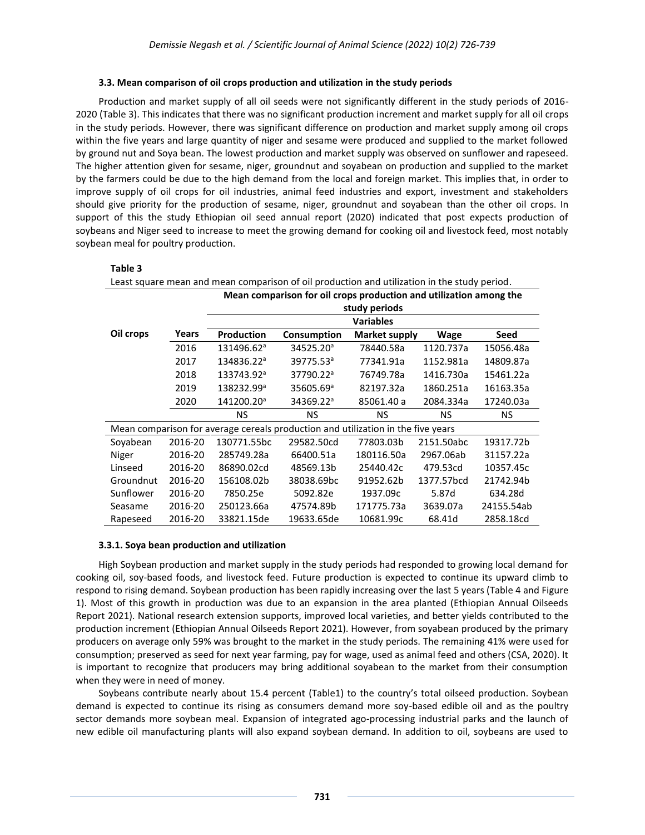#### **3.3. Mean comparison of oil crops production and utilization in the study periods**

Production and market supply of all oil seeds were not significantly different in the study periods of 2016- 2020 (Table 3). This indicates that there was no significant production increment and market supply for all oil crops in the study periods. However, there was significant difference on production and market supply among oil crops within the five years and large quantity of niger and sesame were produced and supplied to the market followed by ground nut and Soya bean. The lowest production and market supply was observed on sunflower and rapeseed. The higher attention given for sesame, niger, groundnut and soyabean on production and supplied to the market by the farmers could be due to the high demand from the local and foreign market. This implies that, in order to improve supply of oil crops for oil industries, animal feed industries and export, investment and stakeholders should give priority for the production of sesame, niger, groundnut and soyabean than the other oil crops. In support of this the study Ethiopian oil seed annual report (2020) indicated that post expects production of soybeans and Niger seed to increase to meet the growing demand for cooking oil and livestock feed, most notably soybean meal for poultry production.

#### **Table 3**

| Least square mean and mean comparison of oil production and utilization in the study period. |                                                                    |                        |                                                                                  |                      |             |            |  |  |  |  |  |
|----------------------------------------------------------------------------------------------|--------------------------------------------------------------------|------------------------|----------------------------------------------------------------------------------|----------------------|-------------|------------|--|--|--|--|--|
|                                                                                              | Mean comparison for oil crops production and utilization among the |                        |                                                                                  |                      |             |            |  |  |  |  |  |
|                                                                                              | study periods                                                      |                        |                                                                                  |                      |             |            |  |  |  |  |  |
|                                                                                              | <b>Variables</b>                                                   |                        |                                                                                  |                      |             |            |  |  |  |  |  |
| Oil crops                                                                                    | Years                                                              | Production             | Consumption                                                                      | <b>Market supply</b> | <b>Wage</b> | Seed       |  |  |  |  |  |
|                                                                                              | 2016                                                               | 131496.62 <sup>a</sup> | 34525.20 <sup>a</sup>                                                            | 78440.58a            | 1120.737a   | 15056.48a  |  |  |  |  |  |
|                                                                                              | 2017                                                               | 134836.22 <sup>a</sup> | 39775.53 <sup>a</sup>                                                            | 77341.91a            | 1152.981a   | 14809.87a  |  |  |  |  |  |
|                                                                                              | 2018                                                               | 133743.92 <sup>a</sup> | 37790.22 <sup>a</sup>                                                            | 76749.78a            | 1416.730a   | 15461.22a  |  |  |  |  |  |
|                                                                                              | 2019                                                               | 138232.99 <sup>a</sup> | 35605.69 <sup>a</sup>                                                            | 82197.32a            | 1860.251a   | 16163.35a  |  |  |  |  |  |
|                                                                                              | 2020                                                               | 141200.20 <sup>a</sup> | 34369.22 <sup>a</sup>                                                            | 85061.40 a           | 2084.334a   | 17240.03a  |  |  |  |  |  |
|                                                                                              |                                                                    | <b>NS</b>              | <b>NS</b>                                                                        | NS.                  | NS.         | NS.        |  |  |  |  |  |
|                                                                                              |                                                                    |                        | Mean comparison for average cereals production and utilization in the five years |                      |             |            |  |  |  |  |  |
| Soyabean                                                                                     | 2016-20                                                            | 130771.55bc            | 29582.50cd                                                                       | 77803.03b            | 2151.50abc  | 19317.72b  |  |  |  |  |  |
| Niger                                                                                        | 2016-20                                                            | 285749.28a             | 66400.51a                                                                        | 180116.50a           | 2967.06ab   | 31157.22a  |  |  |  |  |  |
| Linseed                                                                                      | 2016-20                                                            | 86890.02cd             | 48569.13b                                                                        | 25440.42c            | 479.53cd    | 10357.45c  |  |  |  |  |  |
| Groundnut                                                                                    | 2016-20                                                            | 156108.02b             | 38038.69bc                                                                       | 91952.62b            | 1377.57bcd  | 21742.94b  |  |  |  |  |  |
| Sunflower                                                                                    | 2016-20                                                            | 7850.25e               | 5092.82e                                                                         | 1937.09c             | 5.87d       | 634.28d    |  |  |  |  |  |
| Seasame                                                                                      | 2016-20                                                            | 250123.66a             | 47574.89b                                                                        | 171775.73a           | 3639.07a    | 24155.54ab |  |  |  |  |  |
| Rapeseed                                                                                     | 2016-20                                                            | 33821.15de             | 19633.65de                                                                       | 10681.99c            | 68.41d      | 2858.18cd  |  |  |  |  |  |

#### **3.3.1. Soya bean production and utilization**

High Soybean production and market supply in the study periods had responded to growing local demand for cooking oil, soy-based foods, and livestock feed. Future production is expected to continue its upward climb to respond to rising demand. Soybean production has been rapidly increasing over the last 5 years (Table 4 and Figure 1). Most of this growth in production was due to an expansion in the area planted (Ethiopian Annual Oilseeds Report 2021). National research extension supports, improved local varieties, and better yields contributed to the production increment (Ethiopian Annual Oilseeds Report 2021). However, from soyabean produced by the primary producers on average only 59% was brought to the market in the study periods. The remaining 41% were used for consumption; preserved as seed for next year farming, pay for wage, used as animal feed and others (CSA, 2020). It is important to recognize that producers may bring additional soyabean to the market from their consumption when they were in need of money.

Soybeans contribute nearly about 15.4 percent (Table1) to the country's total oilseed production. Soybean demand is expected to continue its rising as consumers demand more soy-based edible oil and as the poultry sector demands more soybean meal. Expansion of integrated ago-processing industrial parks and the launch of new edible oil manufacturing plants will also expand soybean demand. In addition to oil, soybeans are used to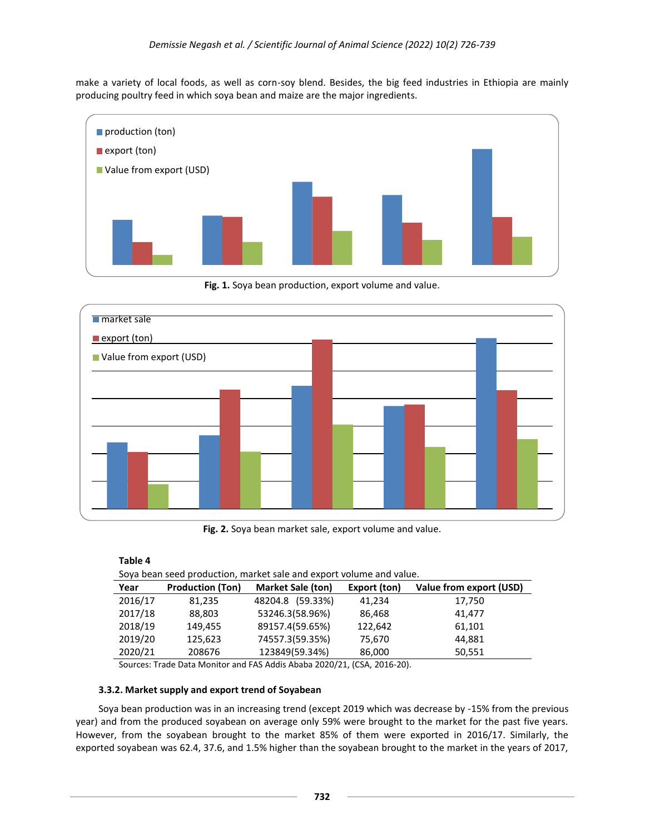make a variety of local foods, as well as corn-soy blend. Besides, the big feed industries in Ethiopia are mainly producing poultry feed in which soya bean and maize are the major ingredients.



**Fig. 1.** Soya bean production, export volume and value.



**Fig. 2.** Soya bean market sale, export volume and value.

| Table 4                                                             |                         |                          |              |                         |  |  |  |  |
|---------------------------------------------------------------------|-------------------------|--------------------------|--------------|-------------------------|--|--|--|--|
| Soya bean seed production, market sale and export volume and value. |                         |                          |              |                         |  |  |  |  |
| Year                                                                | <b>Production (Ton)</b> | <b>Market Sale (ton)</b> | Export (ton) | Value from export (USD) |  |  |  |  |
| 2016/17                                                             | 81,235                  | 48204.8 (59.33%)         | 41,234       | 17,750                  |  |  |  |  |
| 2017/18                                                             | 88,803                  | 53246.3(58.96%)          | 86,468       | 41.477                  |  |  |  |  |
| 2018/19                                                             | 149,455                 | 89157.4(59.65%)          | 122,642      | 61,101                  |  |  |  |  |
| 2019/20                                                             | 125,623                 | 74557.3(59.35%)          | 75,670       | 44.881                  |  |  |  |  |
| 2020/21                                                             | 208676                  | 123849(59.34%)           | 86,000       | 50,551                  |  |  |  |  |

Sources: Trade Data Monitor and FAS Addis Ababa 2020/21, (CSA, 2016-20).

#### **3.3.2. Market supply and export trend of Soyabean**

Soya bean production was in an increasing trend (except 2019 which was decrease by -15% from the previous year) and from the produced soyabean on average only 59% were brought to the market for the past five years. However, from the soyabean brought to the market 85% of them were exported in 2016/17. Similarly, the exported soyabean was 62.4, 37.6, and 1.5% higher than the soyabean brought to the market in the years of 2017,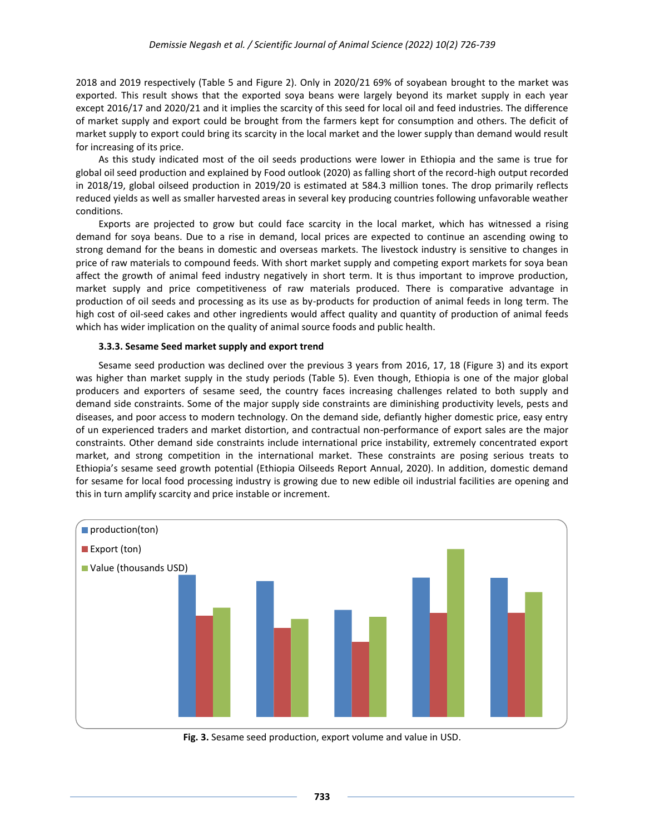2018 and 2019 respectively (Table 5 and Figure 2). Only in 2020/21 69% of soyabean brought to the market was exported. This result shows that the exported soya beans were largely beyond its market supply in each year except 2016/17 and 2020/21 and it implies the scarcity of this seed for local oil and feed industries. The difference of market supply and export could be brought from the farmers kept for consumption and others. The deficit of market supply to export could bring its scarcity in the local market and the lower supply than demand would result for increasing of its price.

As this study indicated most of the oil seeds productions were lower in Ethiopia and the same is true for global oil seed production and explained by Food outlook (2020) as falling short of the record-high output recorded in 2018/19, global oilseed production in 2019/20 is estimated at 584.3 million tones. The drop primarily reflects reduced yields as well as smaller harvested areas in several key producing countries following unfavorable weather conditions.

Exports are projected to grow but could face scarcity in the local market, which has witnessed a rising demand for soya beans. Due to a rise in demand, local prices are expected to continue an ascending owing to strong demand for the beans in domestic and overseas markets. The livestock industry is sensitive to changes in price of raw materials to compound feeds. With short market supply and competing export markets for soya bean affect the growth of animal feed industry negatively in short term. It is thus important to improve production, market supply and price competitiveness of raw materials produced. There is comparative advantage in production of oil seeds and processing as its use as by-products for production of animal feeds in long term. The high cost of oil-seed cakes and other ingredients would affect quality and quantity of production of animal feeds which has wider implication on the quality of animal source foods and public health.

#### **3.3.3. Sesame Seed market supply and export trend**

Sesame seed production was declined over the previous 3 years from 2016, 17, 18 (Figure 3) and its export was higher than market supply in the study periods (Table 5). Even though, Ethiopia is one of the major global producers and exporters of sesame seed, the country faces increasing challenges related to both supply and demand side constraints. Some of the major supply side constraints are diminishing productivity levels, pests and diseases, and poor access to modern technology. On the demand side, defiantly higher domestic price, easy entry of un experienced traders and market distortion, and contractual non-performance of export sales are the major constraints. Other demand side constraints include international price instability, extremely concentrated export market, and strong competition in the international market. These constraints are posing serious treats to Ethiopia's sesame seed growth potential (Ethiopia Oilseeds Report Annual, 2020). In addition, domestic demand for sesame for local food processing industry is growing due to new edible oil industrial facilities are opening and this in turn amplify scarcity and price instable or increment.



**Fig. 3.** Sesame seed production, export volume and value in USD.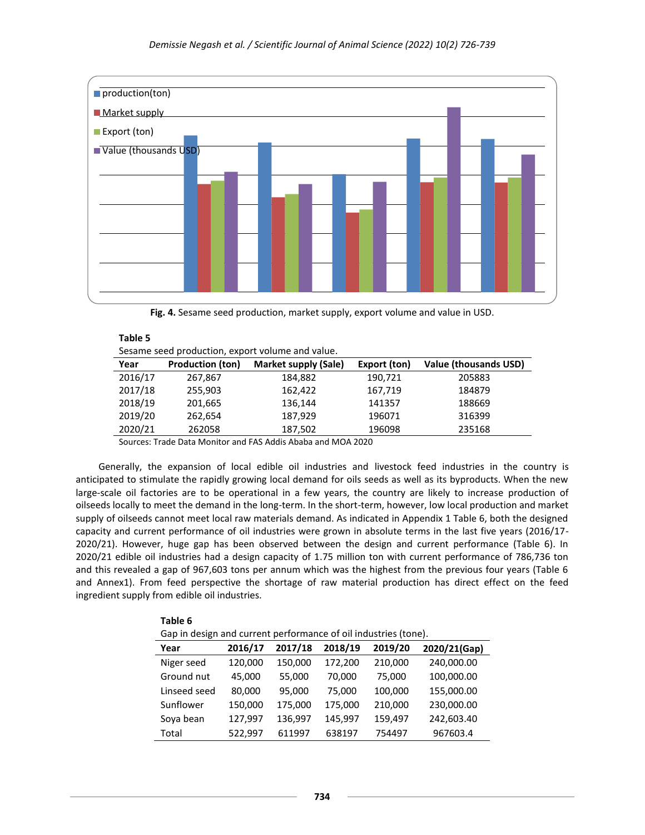

**Fig. 4.** Sesame seed production, market supply, export volume and value in USD.

| Sesame seed production, export volume and value. |                         |                             |              |                       |  |  |  |  |
|--------------------------------------------------|-------------------------|-----------------------------|--------------|-----------------------|--|--|--|--|
| Year                                             | <b>Production (ton)</b> | <b>Market supply (Sale)</b> | Export (ton) | Value (thousands USD) |  |  |  |  |
| 2016/17                                          | 267,867                 | 184,882                     | 190,721      | 205883                |  |  |  |  |
| 2017/18                                          | 255,903                 | 162,422                     | 167,719      | 184879                |  |  |  |  |
| 2018/19                                          | 201,665                 | 136,144                     | 141357       | 188669                |  |  |  |  |
| 2019/20                                          | 262,654                 | 187,929                     | 196071       | 316399                |  |  |  |  |
| 2020/21                                          | 262058                  | 187,502                     | 196098       | 235168                |  |  |  |  |

Sources: Trade Data Monitor and FAS Addis Ababa and MOA 2020

**Table 5**

**Table 6**

Generally, the expansion of local edible oil industries and livestock feed industries in the country is anticipated to stimulate the rapidly growing local demand for oils seeds as well as its byproducts. When the new large-scale oil factories are to be operational in a few years, the country are likely to increase production of oilseeds locally to meet the demand in the long-term. In the short-term, however, low local production and market supply of oilseeds cannot meet local raw materials demand. As indicated in Appendix 1 Table 6, both the designed capacity and current performance of oil industries were grown in absolute terms in the last five years (2016/17- 2020/21). However, huge gap has been observed between the design and current performance (Table 6). In 2020/21 edible oil industries had a design capacity of 1.75 million ton with current performance of 786,736 ton and this revealed a gap of 967,603 tons per annum which was the highest from the previous four years (Table 6 and Annex1). From feed perspective the shortage of raw material production has direct effect on the feed ingredient supply from edible oil industries.

| Table 6                                                         |         |         |         |         |              |  |  |  |  |
|-----------------------------------------------------------------|---------|---------|---------|---------|--------------|--|--|--|--|
| Gap in design and current performance of oil industries (tone). |         |         |         |         |              |  |  |  |  |
| Year                                                            | 2016/17 | 2017/18 | 2018/19 | 2019/20 | 2020/21(Gap) |  |  |  |  |
| Niger seed                                                      | 120,000 | 150,000 | 172,200 | 210,000 | 240,000.00   |  |  |  |  |
| Ground nut                                                      | 45,000  | 55,000  | 70,000  | 75,000  | 100,000.00   |  |  |  |  |
| Linseed seed                                                    | 80,000  | 95,000  | 75,000  | 100,000 | 155,000.00   |  |  |  |  |
| Sunflower                                                       | 150,000 | 175,000 | 175,000 | 210,000 | 230,000.00   |  |  |  |  |
| Sova bean                                                       | 127,997 | 136,997 | 145,997 | 159,497 | 242,603.40   |  |  |  |  |
| Total                                                           | 522,997 | 611997  | 638197  | 754497  | 967603.4     |  |  |  |  |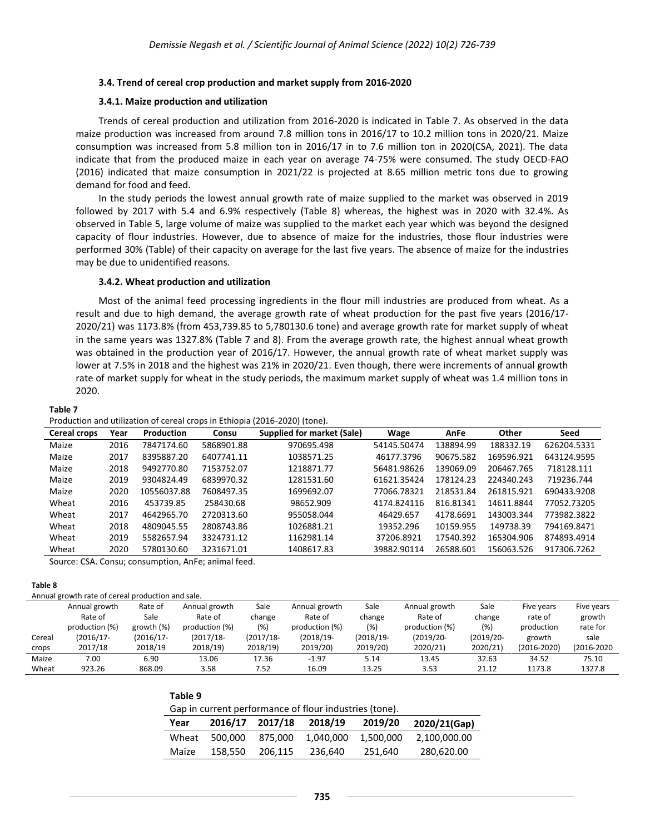#### **3.4. Trend of cereal crop production and market supply from 2016-2020**

#### **3.4.1. Maize production and utilization**

Trends of cereal production and utilization from 2016-2020 is indicated in Table 7. As observed in the data maize production was increased from around 7.8 million tons in 2016/17 to 10.2 million tons in 2020/21. Maize consumption was increased from 5.8 million ton in 2016/17 in to 7.6 million ton in 2020(CSA, 2021). The data indicate that from the produced maize in each year on average 74-75% were consumed. The study OECD-FAO (2016) indicated that maize consumption in 2021/22 is projected at 8.65 million metric tons due to growing demand for food and feed.

In the study periods the lowest annual growth rate of maize supplied to the market was observed in 2019 followed by 2017 with 5.4 and 6.9% respectively (Table 8) whereas, the highest was in 2020 with 32.4%. As observed in Table 5, large volume of maize was supplied to the market each year which was beyond the designed capacity of flour industries. However, due to absence of maize for the industries, those flour industries were performed 30% (Table) of their capacity on average for the last five years. The absence of maize for the industries may be due to unidentified reasons.

#### **3.4.2. Wheat production and utilization**

Most of the animal feed processing ingredients in the flour mill industries are produced from wheat. As a result and due to high demand, the average growth rate of wheat production for the past five years (2016/17- 2020/21) was 1173.8% (from 453,739.85 to 5,780130.6 tone) and average growth rate for market supply of wheat in the same years was 1327.8% (Table 7 and 8). From the average growth rate, the highest annual wheat growth was obtained in the production year of 2016/17. However, the annual growth rate of wheat market supply was lower at 7.5% in 2018 and the highest was 21% in 2020/21. Even though, there were increments of annual growth rate of market supply for wheat in the study periods, the maximum market supply of wheat was 1.4 million tons in 2020.

#### **Table 7**

Production and utilization of cereal crops in Ethiopia (2016-2020) (tone).

**Table 9**

| Cereal crops | Year | <b>Production</b> | Consu      | <b>Supplied for market (Sale)</b> | Wage        | AnFe      | Other      | Seed        |
|--------------|------|-------------------|------------|-----------------------------------|-------------|-----------|------------|-------------|
| Maize        | 2016 | 7847174.60        | 5868901.88 | 970695.498                        | 54145.50474 | 138894.99 | 188332.19  | 626204.5331 |
| Maize        | 2017 | 8395887.20        | 6407741.11 | 1038571.25                        | 46177.3796  | 90675.582 | 169596.921 | 643124.9595 |
| Maize        | 2018 | 9492770.80        | 7153752.07 | 1218871.77                        | 56481.98626 | 139069.09 | 206467.765 | 718128.111  |
| Maize        | 2019 | 9304824.49        | 6839970.32 | 1281531.60                        | 61621.35424 | 178124.23 | 224340.243 | 719236.744  |
| Maize        | 2020 | 10556037.88       | 7608497.35 | 1699692.07                        | 77066.78321 | 218531.84 | 261815.921 | 690433.9208 |
| Wheat        | 2016 | 453739.85         | 258430.68  | 98652.909                         | 4174.824116 | 816.81341 | 14611.8844 | 77052.73205 |
| Wheat        | 2017 | 4642965.70        | 2720313.60 | 955058.044                        | 46429.657   | 4178.6691 | 143003.344 | 773982.3822 |
| Wheat        | 2018 | 4809045.55        | 2808743.86 | 1026881.21                        | 19352.296   | 10159.955 | 149738.39  | 794169.8471 |
| Wheat        | 2019 | 5582657.94        | 3324731.12 | 1162981.14                        | 37206.8921  | 17540.392 | 165304.906 | 874893.4914 |
| Wheat        | 2020 | 5780130.60        | 3231671.01 | 1408617.83                        | 39882.90114 | 26588.601 | 156063.526 | 917306.7262 |

Source: CSA. Consu; consumption, AnFe; animal feed.

#### **Table 8**

| Annual growth rate of cereal production and sale. |  |  |
|---------------------------------------------------|--|--|

|        | Annual growth  | Rate of      | Annual growth  | Sale         | Annual growth  | Sale      | Annual growth  | Sale         | Five years  | Five years  |
|--------|----------------|--------------|----------------|--------------|----------------|-----------|----------------|--------------|-------------|-------------|
|        | Rate of        | Sale         | Rate of        | change       | Rate of        | change    | Rate of        | change       | rate of     | growth      |
|        | production (%) | growth $(%)$ | production (%) | (%)          | production (%) | (%)       | production (%) | (% )         | production  | rate for    |
| Cereal | (2016/17-      | $(2016/17 -$ | $(2017/18 -$   | $(2017/18 -$ | $(2018/19 -$   | (2018/19- | $(2019/20 -$   | $(2019/20 -$ | growth      | sale        |
| crops  | 2017/18        | 2018/19      | 2018/19)       | 2018/19)     | 2019/20)       | 2019/20)  | 2020/21)       | 2020/21)     | (2016-2020) | (2016-2020) |
| Maize  | 7.00           | 6.90         | 13.06          | 17.36        | $-1.97$        | 5.14      | 13.45          | 32.63        | 34.52       | 75.10       |
| Wheat  | 923.26         | 868.09       | 3.58           | 7.52         | 16.09          | 13.25     | 3.53           | 21.12        | 1173.8      | 1327.8      |

| Gap in current performance of flour industries (tone). |
|--------------------------------------------------------|
|--------------------------------------------------------|

|       | and in carrent performance or now, made no front f |         |           |           |              |  |  |  |  |
|-------|----------------------------------------------------|---------|-----------|-----------|--------------|--|--|--|--|
| Year  | 2016/17                                            | 2017/18 | 2018/19   | 2019/20   | 2020/21(Gap) |  |  |  |  |
| Wheat | 500.000                                            | 875.000 | 1.040.000 | 1.500.000 | 2,100,000.00 |  |  |  |  |
| Maize | 158.550                                            | 206.115 | 236.640   | 251.640   | 280,620.00   |  |  |  |  |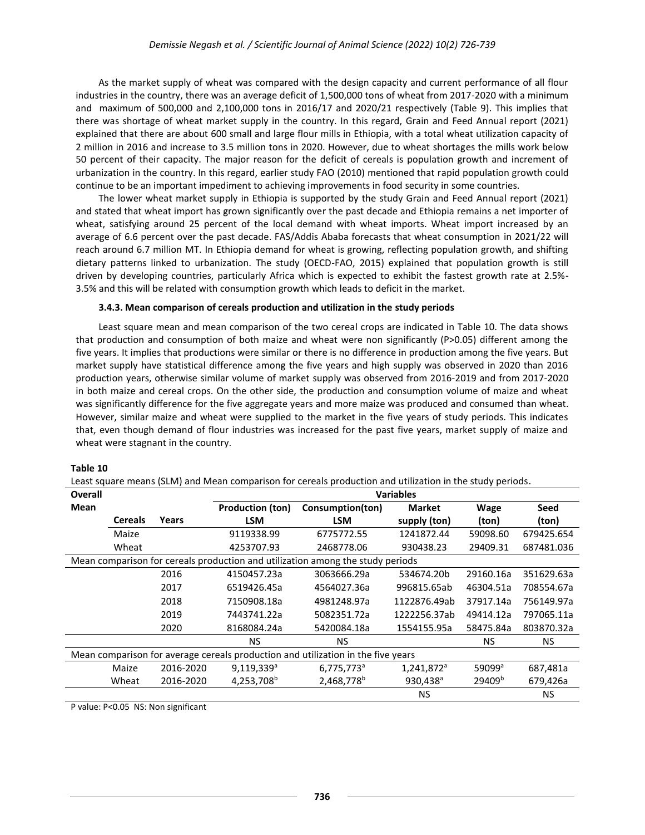As the market supply of wheat was compared with the design capacity and current performance of all flour industries in the country, there was an average deficit of 1,500,000 tons of wheat from 2017-2020 with a minimum and maximum of 500,000 and 2,100,000 tons in 2016/17 and 2020/21 respectively (Table 9). This implies that there was shortage of wheat market supply in the country. In this regard, Grain and Feed Annual report (2021) explained that there are about 600 small and large flour mills in Ethiopia, with a total wheat utilization capacity of 2 million in 2016 and increase to 3.5 million tons in 2020. However, due to wheat shortages the mills work below 50 percent of their capacity. The major reason for the deficit of cereals is population growth and increment of urbanization in the country. In this regard, earlier study FAO (2010) mentioned that rapid population growth could continue to be an important impediment to achieving improvements in food security in some countries.

The lower wheat market supply in Ethiopia is supported by the study Grain and Feed Annual report (2021) and stated that wheat import has grown significantly over the past decade and Ethiopia remains a net importer of wheat, satisfying around 25 percent of the local demand with wheat imports. Wheat import increased by an average of 6.6 percent over the past decade. FAS/Addis Ababa forecasts that wheat consumption in 2021/22 will reach around 6.7 million MT. In Ethiopia demand for wheat is growing, reflecting population growth, and shifting dietary patterns linked to urbanization. The study (OECD-FAO, 2015) explained that population growth is still driven by developing countries, particularly Africa which is expected to exhibit the fastest growth rate at 2.5%- 3.5% and this will be related with consumption growth which leads to deficit in the market.

## **3.4.3. Mean comparison of cereals production and utilization in the study periods**

Least square mean and mean comparison of the two cereal crops are indicated in Table 10. The data shows that production and consumption of both maize and wheat were non significantly (P>0.05) different among the five years. It implies that productions were similar or there is no difference in production among the five years. But market supply have statistical difference among the five years and high supply was observed in 2020 than 2016 production years, otherwise similar volume of market supply was observed from 2016-2019 and from 2017-2020 in both maize and cereal crops. On the other side, the production and consumption volume of maize and wheat was significantly difference for the five aggregate years and more maize was produced and consumed than wheat. However, similar maize and wheat were supplied to the market in the five years of study periods. This indicates that, even though demand of flour industries was increased for the past five years, market supply of maize and wheat were stagnant in the country.

#### **Table 10**

Least square means (SLM) and Mean comparison for cereals production and utilization in the study periods.

| Overall                                                                          |                |           | <b>Variables</b>        |                        |                        |                    |            |
|----------------------------------------------------------------------------------|----------------|-----------|-------------------------|------------------------|------------------------|--------------------|------------|
| Mean                                                                             |                |           | <b>Production (ton)</b> | Consumption(ton)       | <b>Market</b>          | <b>Wage</b>        | Seed       |
|                                                                                  | <b>Cereals</b> | Years     | LSM                     | <b>LSM</b>             | supply (ton)           | (ton)              | (ton)      |
|                                                                                  | Maize          |           | 9119338.99              | 6775772.55             | 1241872.44             | 59098.60           | 679425.654 |
|                                                                                  | Wheat          |           | 4253707.93              | 2468778.06             | 930438.23              | 29409.31           | 687481.036 |
| Mean comparison for cereals production and utilization among the study periods   |                |           |                         |                        |                        |                    |            |
|                                                                                  |                | 2016      | 4150457.23a             | 3063666.29a            | 534674.20b             | 29160.16a          | 351629.63a |
|                                                                                  |                | 2017      | 6519426.45a             | 4564027.36a            | 996815.65ab            | 46304.51a          | 708554.67a |
|                                                                                  |                | 2018      | 7150908.18a             | 4981248.97a            | 1122876.49ab           | 37917.14a          | 756149.97a |
|                                                                                  |                | 2019      | 7443741.22a             | 5082351.72a            | 1222256.37ab           | 49414.12a          | 797065.11a |
|                                                                                  |                | 2020      | 8168084.24a             | 5420084.18a            | 1554155.95a            | 58475.84a          | 803870.32a |
|                                                                                  |                |           | <b>NS</b>               | NS.                    |                        | <b>NS</b>          | NS.        |
| Mean comparison for average cereals production and utilization in the five years |                |           |                         |                        |                        |                    |            |
|                                                                                  | Maize          | 2016-2020 | $9,119,339^a$           | 6,775,773 <sup>a</sup> | 1,241,872 <sup>a</sup> | 59099 <sup>a</sup> | 687,481a   |
|                                                                                  | Wheat          | 2016-2020 | 4,253,708 <sup>b</sup>  | 2,468,778 <sup>b</sup> | 930,438 <sup>a</sup>   | 29409 <sup>b</sup> | 679,426a   |
|                                                                                  |                |           |                         |                        | <b>NS</b>              |                    | ΝS         |

P value: P<0.05 NS: Non significant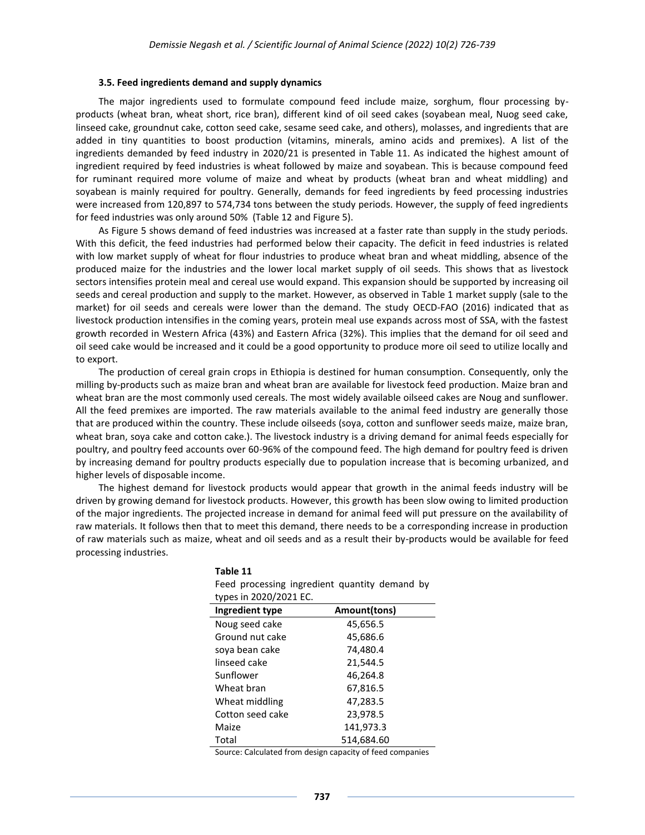#### **3.5. Feed ingredients demand and supply dynamics**

The major ingredients used to formulate compound feed include maize, sorghum, flour processing byproducts (wheat bran, wheat short, rice bran), different kind of oil seed cakes (soyabean meal, Nuog seed cake, linseed cake, groundnut cake, cotton seed cake, sesame seed cake, and others), molasses, and ingredients that are added in tiny quantities to boost production (vitamins, minerals, amino acids and premixes). A list of the ingredients demanded by feed industry in 2020/21 is presented in Table 11. As indicated the highest amount of ingredient required by feed industries is wheat followed by maize and soyabean. This is because compound feed for ruminant required more volume of maize and wheat by products (wheat bran and wheat middling) and soyabean is mainly required for poultry. Generally, demands for feed ingredients by feed processing industries were increased from 120,897 to 574,734 tons between the study periods. However, the supply of feed ingredients for feed industries was only around 50% (Table 12 and Figure 5).

As Figure 5 shows demand of feed industries was increased at a faster rate than supply in the study periods. With this deficit, the feed industries had performed below their capacity. The deficit in feed industries is related with low market supply of wheat for flour industries to produce wheat bran and wheat middling, absence of the produced maize for the industries and the lower local market supply of oil seeds. This shows that as livestock sectors intensifies protein meal and cereal use would expand. This expansion should be supported by increasing oil seeds and cereal production and supply to the market. However, as observed in Table 1 market supply (sale to the market) for oil seeds and cereals were lower than the demand. The study OECD-FAO (2016) indicated that as livestock production intensifies in the coming years, protein meal use expands across most of SSA, with the fastest growth recorded in Western Africa (43%) and Eastern Africa (32%). This implies that the demand for oil seed and oil seed cake would be increased and it could be a good opportunity to produce more oil seed to utilize locally and to export.

The production of cereal grain crops in Ethiopia is destined for human consumption. Consequently, only the milling by-products such as maize bran and wheat bran are available for livestock feed production. Maize bran and wheat bran are the most commonly used cereals. The most widely available oilseed cakes are Noug and sunflower. All the feed premixes are imported. The raw materials available to the animal feed industry are generally those that are produced within the country. These include oilseeds (soya, cotton and sunflower seeds maize, maize bran, wheat bran, soya cake and cotton cake.). The livestock industry is a driving demand for animal feeds especially for poultry, and poultry feed accounts over 60-96% of the compound feed. The high demand for poultry feed is driven by increasing demand for poultry products especially due to population increase that is becoming urbanized, and higher levels of disposable income.

The highest demand for livestock products would appear that growth in the animal feeds industry will be driven by growing demand for livestock products. However, this growth has been slow owing to limited production of the major ingredients. The projected increase in demand for animal feed will put pressure on the availability of raw materials. It follows then that to meet this demand, there needs to be a corresponding increase in production of raw materials such as maize, wheat and oil seeds and as a result their by-products would be available for feed processing industries.

**Table 11**

| Feed processing ingredient quantity demand by<br>types in 2020/2021 EC. |              |  |  |  |  |  |
|-------------------------------------------------------------------------|--------------|--|--|--|--|--|
| Ingredient type                                                         | Amount(tons) |  |  |  |  |  |
| Noug seed cake                                                          | 45,656.5     |  |  |  |  |  |
| Ground nut cake                                                         | 45,686.6     |  |  |  |  |  |
| soya bean cake                                                          | 74.480.4     |  |  |  |  |  |
| linseed cake                                                            | 21,544.5     |  |  |  |  |  |
| Sunflower                                                               | 46,264.8     |  |  |  |  |  |
| Wheat bran                                                              | 67,816.5     |  |  |  |  |  |
| Wheat middling                                                          | 47,283.5     |  |  |  |  |  |
| Cotton seed cake                                                        | 23,978.5     |  |  |  |  |  |
| Maize                                                                   | 141,973.3    |  |  |  |  |  |
| Total                                                                   | 514.684.60   |  |  |  |  |  |

Source: Calculated from design capacity of feed companies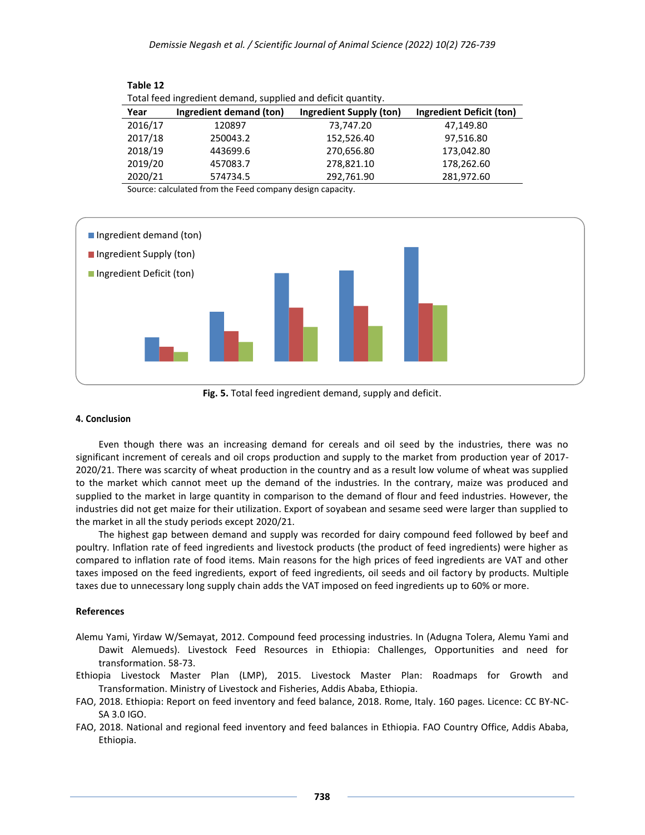| Total feed ingredient demand, supplied and deficit quantity. |                         |                         |                          |  |  |  |  |  |
|--------------------------------------------------------------|-------------------------|-------------------------|--------------------------|--|--|--|--|--|
| Year                                                         | Ingredient demand (ton) | Ingredient Supply (ton) | Ingredient Deficit (ton) |  |  |  |  |  |
| 2016/17                                                      | 120897                  | 73,747.20               | 47,149.80                |  |  |  |  |  |
| 2017/18                                                      | 250043.2                | 152,526.40              | 97,516.80                |  |  |  |  |  |
| 2018/19                                                      | 443699.6                | 270,656.80              | 173,042.80               |  |  |  |  |  |
| 2019/20                                                      | 457083.7                | 278,821.10              | 178,262.60               |  |  |  |  |  |
| 2020/21                                                      | 574734.5                | 292,761.90              | 281,972.60               |  |  |  |  |  |

Source: calculated from the Feed company design capacity.



**Fig. 5.** Total feed ingredient demand, supply and deficit.

#### **4. Conclusion**

**Table 12**

Even though there was an increasing demand for cereals and oil seed by the industries, there was no significant increment of cereals and oil crops production and supply to the market from production year of 2017- 2020/21. There was scarcity of wheat production in the country and as a result low volume of wheat was supplied to the market which cannot meet up the demand of the industries. In the contrary, maize was produced and supplied to the market in large quantity in comparison to the demand of flour and feed industries. However, the industries did not get maize for their utilization. Export of soyabean and sesame seed were larger than supplied to the market in all the study periods except 2020/21.

The highest gap between demand and supply was recorded for dairy compound feed followed by beef and poultry. Inflation rate of feed ingredients and livestock products (the product of feed ingredients) were higher as compared to inflation rate of food items. Main reasons for the high prices of feed ingredients are VAT and other taxes imposed on the feed ingredients, export of feed ingredients, oil seeds and oil factory by products. Multiple taxes due to unnecessary long supply chain adds the VAT imposed on feed ingredients up to 60% or more.

#### **References**

- Alemu Yami, Yirdaw W/Semayat, 2012. Compound feed processing industries. In (Adugna Tolera, Alemu Yami and Dawit Alemueds). Livestock Feed Resources in Ethiopia: Challenges, Opportunities and need for transformation. 58-73.
- Ethiopia Livestock Master Plan (LMP), 2015. Livestock Master Plan: Roadmaps for Growth and Transformation. Ministry of Livestock and Fisheries, Addis Ababa, Ethiopia.
- FAO, 2018. Ethiopia: Report on feed inventory and feed balance, 2018. Rome, Italy. 160 pages. Licence: CC BY-NC-SA 3.0 IGO.
- FAO, 2018. National and regional feed inventory and feed balances in Ethiopia. FAO Country Office, Addis Ababa, Ethiopia.